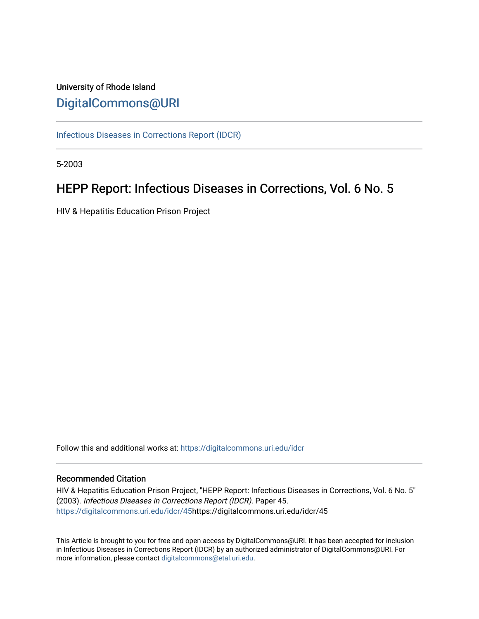# University of Rhode Island [DigitalCommons@URI](https://digitalcommons.uri.edu/)

[Infectious Diseases in Corrections Report \(IDCR\)](https://digitalcommons.uri.edu/idcr)

5-2003

# HEPP Report: Infectious Diseases in Corrections, Vol. 6 No. 5

HIV & Hepatitis Education Prison Project

Follow this and additional works at: [https://digitalcommons.uri.edu/idcr](https://digitalcommons.uri.edu/idcr?utm_source=digitalcommons.uri.edu%2Fidcr%2F45&utm_medium=PDF&utm_campaign=PDFCoverPages)

## Recommended Citation

HIV & Hepatitis Education Prison Project, "HEPP Report: Infectious Diseases in Corrections, Vol. 6 No. 5" (2003). Infectious Diseases in Corrections Report (IDCR). Paper 45. [https://digitalcommons.uri.edu/idcr/45h](https://digitalcommons.uri.edu/idcr/45?utm_source=digitalcommons.uri.edu%2Fidcr%2F45&utm_medium=PDF&utm_campaign=PDFCoverPages)ttps://digitalcommons.uri.edu/idcr/45

This Article is brought to you for free and open access by DigitalCommons@URI. It has been accepted for inclusion in Infectious Diseases in Corrections Report (IDCR) by an authorized administrator of DigitalCommons@URI. For more information, please contact [digitalcommons@etal.uri.edu.](mailto:digitalcommons@etal.uri.edu)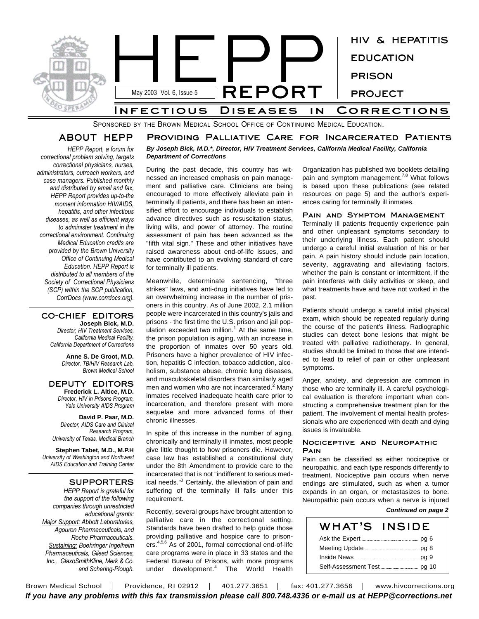

SPONSORED BY THE BROWN MEDICAL SCHOOL OFFICE OF CONTINUING MEDICAL EDUCATION.

## **ABOUT HEPP** *HEPP Report, a forum for*

**Providing Palliative Care for Incarcerated Patients**

*By Joseph Bick, M.D.\*, Director, HIV Treatment Services, California Medical Facility, California Department of Corrections*

During the past decade, this country has witnessed an increased emphasis on pain management and palliative care. Clinicians are being encouraged to more effectively alleviate pain in terminally ill patients, and there has been an intensified effort to encourage individuals to establish advance directives such as resuscitation status, living wills, and power of attorney. The routine assessment of pain has been advanced as the "fifth vital sign." These and other initiatives have raised awareness about end-of-life issues, and have contributed to an evolving standard of care for terminally ill patients.

Meanwhile, determinate sentencing, "three strikes" laws, and anti-drug initiatives have led to an overwhelming increase in the number of prisoners in this country. As of June 2002, 2.1 million people were incarcerated in this country's jails and prisons - the first time the U.S. prison and jail population exceeded two million.<sup>1</sup> At the same time, the prison population is aging, with an increase in the proportion of inmates over 50 years old. Prisoners have a higher prevalence of HIV infection, hepatitis C infection, tobacco addiction, alcoholism, substance abuse, chronic lung diseases, and musculoskeletal disorders than similarly aged men and women who are not incarcerated.<sup>2</sup> Many inmates received inadequate health care prior to incarceration, and therefore present with more sequelae and more advanced forms of their chronic illnesses.

In spite of this increase in the number of aging, chronically and terminally ill inmates, most people give little thought to how prisoners die. However, case law has established a constitutional duty under the 8th Amendment to provide care to the incarcerated that is not "indifferent to serious medical needs."<sup>3</sup> Certainly, the alleviation of pain and suffering of the terminally ill falls under this requirement.

Recently, several groups have brought attention to palliative care in the correctional setting. Standards have been drafted to help guide those providing palliative and hospice care to prisoners. 4,5,6 As of 2001, formal correctional end-of-life

Organization has published two booklets detailing pain and symptom management.<sup>7,8</sup> What follows is based upon these publications (see related resources on page 5) and the author's experiences caring for terminally ill inmates.

**Pain and Symptom Management** Terminally ill patients frequently experience pain and other unpleasant symptoms secondary to their underlying illness. Each patient should undergo a careful initial evaluation of his or her pain. A pain history should include pain location, severity, aggravating and alleviating factors, whether the pain is constant or intermittent, if the pain interferes with daily activities or sleep, and what treatments have and have not worked in the past.

Patients should undergo a careful initial physical exam, which should be repeated regularly during the course of the patient's illness. Radiographic studies can detect bone lesions that might be treated with palliative radiotherapy. In general, studies should be limited to those that are intended to lead to relief of pain or other unpleasant symptoms.

Anger, anxiety, and depression are common in those who are terminally ill. A careful psychological evaluation is therefore important when constructing a comprehensive treatment plan for the patient. The involvement of mental health professionals who are experienced with death and dying issues is invaluable.

## **Nociceptive and Neuropathic Pain**

Pain can be classified as either nociceptive or neuropathic, and each type responds differently to treatment. Nociceptive pain occurs when nerve endings are stimulated, such as when a tumor expands in an organ, or metastasizes to bone. Neuropathic pain occurs when a nerve is injured

#### *Continued on page 2*

| <b>WHAT'S INSIDE</b>                                                                                                                                                                                                               |  |
|------------------------------------------------------------------------------------------------------------------------------------------------------------------------------------------------------------------------------------|--|
| Ask the Expert <u>manual manual particle</u> part of the state and the state of the state of the state of the state of the state of the state of the state of the state of the state of the state of the state of the state of the |  |
|                                                                                                                                                                                                                                    |  |
|                                                                                                                                                                                                                                    |  |
|                                                                                                                                                                                                                                    |  |

care programs were in place in 33 states and the Federal Bureau of Prisons, with more programs under development. <sup>4</sup> The World Health *Pharmaceuticals, Gilead Sciences, Inc., GlaxoSmithKline, Merk & Co. and Schering-Plough.*

Brown Medical School | Providence, RI 02912 | 401.277.3651 | fax: 401.277.3656 | www.hivcorrections.org *If you have any problems with this fax transmission please call 800.748.4336 or e-mail us at HEPP@corrections.net*

*correctional problem solving, targets correctional physicians, nurses, administrators, outreach workers, and case managers. Published monthly and distributed by email and fax, HEPP Report provides up-to-the moment information HIV/AIDS, hepatitis, and other infectious diseases, as well as efficient ways to administer treatment in the correctional environment. Continuing Medical Education credits are provided by the Brown University Office of Continuing Medical Education. HEPP Report is distributed to all members of the Society of Correctional Physicians (SCP) within the SCP publication, CorrDocs (www.corrdocs.org).*

## **CO-CHIEF EDITORS**

**Joseph Bick, M.D.** *Director, HIV Treatment Services, California Medical Facility, California Department of Corrections*

> **Anne S. De Groot, M.D.** *Director, TB/HIV Research Lab, Brown Medical School*

## **DEPUTY EDITORS Frederick L. Altice, M.D.** *Director, HIV in Prisons Program,*

*Yale University AIDS Program*

**David P. Paar, M.D.** *Director, AIDS Care and Clinical Research Program, University of Texas, Medical Branch*

**Stephen Tabet, M.D., M.P.H** *University of Washington and Northwest AIDS Education and Training Center*

## **SUPPORTERS**

*HEPP Report is grateful for the support of the following companies through unrestricted educational grants: Major Support: Abbott Laboratories, Agouron Pharmaceuticals, and Roche Pharmaceuticals. Sustaining: Boehringer Ingelheim*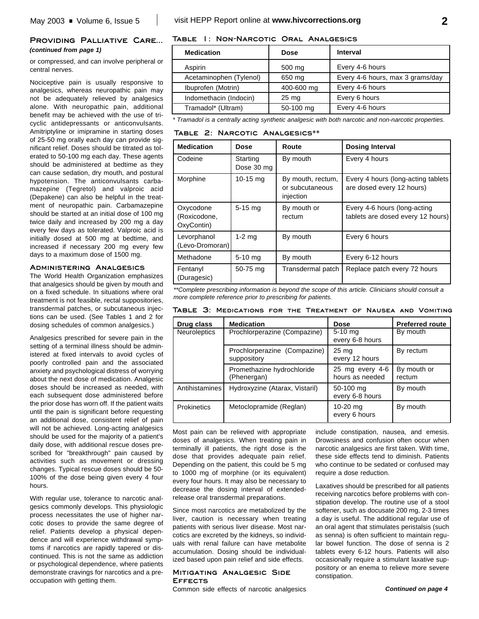## **Providing Palliative Care...** *(continued from page 1)*

or compressed, and can involve peripheral or central nerves.

Nociceptive pain is usually responsive to analgesics, whereas neuropathic pain may not be adequately relieved by analgesics alone. With neuropathic pain, additional benefit may be achieved with the use of tricyclic antidepressants or anticonvulsants. Amitriptyline or imipramine in starting doses of 25-50 mg orally each day can provide significant relief. Doses should be titrated as tolerated to 50-100 mg each day. These agents should be administered at bedtime as they can cause sedation, dry mouth, and postural hypotension. The anticonvulsants carbamazepine (Tegretol) and valproic acid (Depakene) can also be helpful in the treatment of neuropathic pain. Carbamazepine should be started at an initial dose of 100 mg twice daily and increased by 200 mg a day every few days as tolerated. Valproic acid is initially dosed at 500 mg at bedtime, and increased if necessary 200 mg every few days to a maximum dose of 1500 mg.

## **Administering Analgesics**

The World Health Organization emphasizes that analgesics should be given by mouth and on a fixed schedule. In situations where oral treatment is not feasible, rectal suppositories, transdermal patches, or subcutaneous injections can be used. (See Tables 1 and 2 for dosing schedules of common analgesics.)

Analgesics prescribed for severe pain in the setting of a terminal illness should be administered at fixed intervals to avoid cycles of poorly controlled pain and the associated anxiety and psychological distress of worrying about the next dose of medication. Analgesic doses should be increased as needed, with each subsequent dose administered before the prior dose has worn off. If the patient waits until the pain is significant before requesting an additional dose, consistent relief of pain will not be achieved. Long-acting analgesics should be used for the majority of a patient's daily dose, with additional rescue doses prescribed for "breakthrough" pain caused by activities such as movement or dressing changes. Typical rescue doses should be 50- 100% of the dose being given every 4 four hours.

With regular use, tolerance to narcotic analgesics commonly develops. This physiologic process necessitates the use of higher narcotic doses to provide the same degree of relief. Patients develop a physical dependence and will experience withdrawal symptoms if narcotics are rapidly tapered or discontinued. This is not the same as addiction or psychological dependence, where patients demonstrate cravings for narcotics and a preoccupation with getting them.

## **Table 1: Non-Narcotic Oral Analgesics**

| <b>Medication</b>       | <b>Dose</b>      | <b>Interval</b>                  |
|-------------------------|------------------|----------------------------------|
| Aspirin                 | $500 \text{ mg}$ | Every 4-6 hours                  |
| Acetaminophen (Tylenol) | 650 mg           | Every 4-6 hours, max 3 grams/day |
| Ibuprofen (Motrin)      | 400-600 mg       | Every 4-6 hours                  |
| Indomethacin (Indocin)  | $25 \text{ mg}$  | Every 6 hours                    |
| Tramadol* (Ultram)      | 50-100 mg        | Every 4-6 hours                  |

*\* Tramadol is a centrally acting synthetic analgesic with both narcotic and non-narcotic properties.*

**Table 2: Narcotic Analgesics\*\***

| <b>Medication</b>                       | Dose                   | Route                                             | <b>Dosing Interval</b>                                            |
|-----------------------------------------|------------------------|---------------------------------------------------|-------------------------------------------------------------------|
| Codeine                                 | Starting<br>Dose 30 mg | By mouth                                          | Every 4 hours                                                     |
| Morphine                                | 10-15 $mg$             | By mouth, rectum,<br>or subcutaneous<br>injection | Every 4 hours (long-acting tablets)<br>are dosed every 12 hours)  |
| Oxycodone<br>(Roxicodone,<br>OxyContin) | $5-15$ mg              | By mouth or<br>rectum                             | Every 4-6 hours (long-acting<br>tablets are dosed every 12 hours) |
| Levorphanol<br>(Levo-Dromoran)          | $1-2$ mg               | By mouth                                          | Every 6 hours                                                     |
| Methadone                               | $5-10$ mg              | By mouth                                          | Every 6-12 hours                                                  |
| Fentanyl<br>(Duragesic)                 | 50-75 mg               | Transdermal patch                                 | Replace patch every 72 hours                                      |

*\*\*Complete prescribing information is beyond the scope of this article. Clinicians should consult a more complete reference prior to prescribing for patients.*

| TABLE 3: MEDICATIONS FOR THE TREATMENT OF NAUSEA AND VOMITING |
|---------------------------------------------------------------|
|---------------------------------------------------------------|

| Drug class         | <b>Medication</b>                           | <b>Dose</b>                        | <b>Preferred route</b> |
|--------------------|---------------------------------------------|------------------------------------|------------------------|
| Neuroleptics       | Prochlorperazine (Compazine)                | $5-10$ mg<br>every 6-8 hours       | By mouth               |
|                    | Prochlorperazine (Compazine)<br>suppository | 25 <sub>mg</sub><br>every 12 hours | By rectum              |
|                    | Promethazine hydrochloride<br>(Phenergan)   | 25 mg every 4-6<br>hours as needed | By mouth or<br>rectum  |
| Antihistamines     | Hydroxyzine (Atarax, Vistaril)              | 50-100 mg<br>every 6-8 hours       | By mouth               |
| <b>Prokinetics</b> | Metoclopramide (Reglan)                     | 10-20 $mg$<br>every 6 hours        | By mouth               |

Most pain can be relieved with appropriate doses of analgesics. When treating pain in terminally ill patients, the right dose is the dose that provides adequate pain relief. Depending on the patient, this could be 5 mg to 1000 mg of morphine (or its equivalent) every four hours. It may also be necessary to decrease the dosing interval of extendedrelease oral transdermal preparations.

Since most narcotics are metabolized by the liver, caution is necessary when treating patients with serious liver disease. Most narcotics are excreted by the kidneys, so individuals with renal failure can have metabolite accumulation. Dosing should be individualized based upon pain relief and side effects.

## **Mitigating Analgesic Side Effects**

Common side effects of narcotic analgesics

include constipation, nausea, and emesis. Drowsiness and confusion often occur when narcotic analgesics are first taken. With time, these side effects tend to diminish. Patients who continue to be sedated or confused may require a dose reduction.

Laxatives should be prescribed for all patients receiving narcotics before problems with constipation develop. The routine use of a stool softener, such as docusate 200 mg, 2-3 times a day is useful. The additional regular use of an oral agent that stimulates peristalsis (such as senna) is often sufficient to maintain regular bowel function. The dose of senna is 2 tablets every 6-12 hours. Patients will also occasionally require a stimulant laxative suppository or an enema to relieve more severe constipation.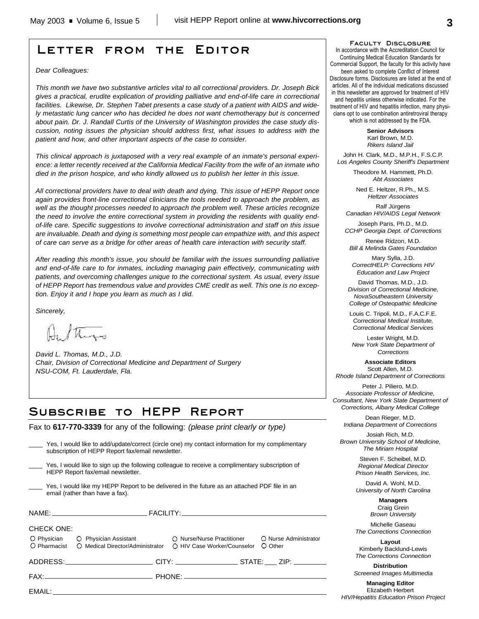# **Letter from the Editor**

### *Dear Colleagues:*

*This month we have two substantive articles vital to all correctional providers. Dr. Joseph Bick gives a practical, erudite explication of providing palliative and end-of-life care in correctional facilities. Likewise, Dr. Stephen Tabet presents a case study of a patient with AIDS and widely metastatic lung cancer who has decided he does not want chemotherapy but is concerned about pain. Dr. J. Randall Curtis of the University of Washington provides the case study discussion, noting issues the physician should address first, what issues to address with the patient and how, and other important aspects of the case to consider.*

*This clinical approach is juxtaposed with a very real example of an inmate's personal experience: a letter recently received at the California Medical Facility from the wife of an inmate who died in the prison hospice, and who kindly allowed us to publish her letter in this issue.*

*All correctional providers have to deal with death and dying. This issue of HEPP Report once again provides front-line correctional clinicians the tools needed to approach the problem, as well as the thought processes needed to approach the problem well. These articles recognize the need to involve the entire correctional system in providing the residents with quality endof-life care. Specific suggestions to involve correctional administration and staff on this issue are invaluable. Death and dying is something most people can empathize with, and this aspect of care can serve as a bridge for other areas of health care interaction with security staff.*

*After reading this month's issue, you should be familiar with the issues surrounding palliative and end-of-life care to for inmates, including managing pain effectively, communicating with patients, and overcoming challenges unique to the correctional system. As usual, every issue of HEPP Report has tremendous value and provides CME credit as well. This one is no exception. Enjoy it and I hope you learn as much as I did.*

*Sincerely,*

*David L. Thomas, M.D., J.D. Chair, Division of Correctional Medicine and Department of Surgery NSU-COM, Ft. Lauderdale, Fla.*

## **Subscribe to HEPP Report**

Fax to **617-770-3339** for any of the following: *(please print clearly or type)*

|                                                                                                                                                                                                                                | Yes, I would like to add/update/correct (circle one) my contact information for my complimentary<br>subscription of HEPP Report fax/email newsletter. |  |  |
|--------------------------------------------------------------------------------------------------------------------------------------------------------------------------------------------------------------------------------|-------------------------------------------------------------------------------------------------------------------------------------------------------|--|--|
| Yes, I would like to sign up the following colleague to receive a complimentary subscription of<br>HEPP Report fax/email newsletter.                                                                                           |                                                                                                                                                       |  |  |
| Yes, I would like my HEPP Report to be delivered in the future as an attached PDF file in an<br>email (rather than have a fax).                                                                                                |                                                                                                                                                       |  |  |
|                                                                                                                                                                                                                                |                                                                                                                                                       |  |  |
| <b>CHECK ONE:</b><br>O Pharmacist O Medical Director/Administrator O HIV Case Worker/Counselor                                                                                                                                 | O Physician C Physician Assistant C Nurse/Nurse Practitioner C Nurse Administrator<br>O Other                                                         |  |  |
|                                                                                                                                                                                                                                |                                                                                                                                                       |  |  |
|                                                                                                                                                                                                                                |                                                                                                                                                       |  |  |
| EMAIL: The contract of the contract of the contract of the contract of the contract of the contract of the contract of the contract of the contract of the contract of the contract of the contract of the contract of the con |                                                                                                                                                       |  |  |

**Faculty Disclosure**

In accordance with the Accreditation Council for Continuing Medical Education Standards for Commercial Support, the faculty for this activity have been asked to complete Conflict of Interest Disclosure forms. Disclosures are listed at the end of articles. All of the individual medications discussed in this newsletter are approved for treatment of HIV and hepatitis unless otherwise indicated. For the treatment of HIV and hepatitis infection, many physicians opt to use combination antiretroviral therapy which is not addressed by the FDA.

> **Senior Advisors** Karl Brown, M.D. *Rikers Island Jail*

John H. Clark, M.D., M.P.H., F.S.C.P. *Los Angeles County Sheriff's Department*

> Theodore M. Hammett, Ph.D. *Abt Associates*

Ned E. Heltzer, R.Ph., M.S. *Heltzer Associates*

Ralf Jürgens *Canadian HIV/AIDS Legal Network*

Joseph Paris, Ph.D., M.D. *CCHP Georgia Dept. of Corrections*

Renee Ridzon, M.D. *Bill & Melinda Gates Foundation*

Mary Sylla, J.D. *CorrectHELP: Corrections HIV Education and Law Project*

David Thomas, M.D., J.D. *Division of Correctional Medicine, NovaSoutheastern University College of Osteopathic Medicine*

Louis C. Tripoli, M.D., F.A.C.F.E. *Correctional Medical Institute, Correctional Medical Services*

Lester Wright, M.D. *New York State Department of Corrections*

**Associate Editors** Scott Allen, M.D. *Rhode Island Department of Corrections*

Peter J. Piliero, M.D. *Associate Professor of Medicine, Consultant, New York State Department of Corrections, Albany Medical College*

Dean Rieger, M.D. *Indiana Department of Corrections*

Josiah Rich, M.D. *Brown University School of Medicine, The Miriam Hospital*

> Steven F. Scheibel, M.D. *Regional Medical Director Prison Health Services, Inc.*

> David A. Wohl, M.D. *University of North Carolina*

> > **Managers** Craig Grein *Brown University*

Michelle Gaseau *The Corrections Connection*

**Layout** Kimberly Backlund-Lewis *The Corrections Connection*

**Distribution** *Screened Images Multimedia*

**Managing Editor** Elizabeth Herbert *HIV/Hepatitis Education Prison Project*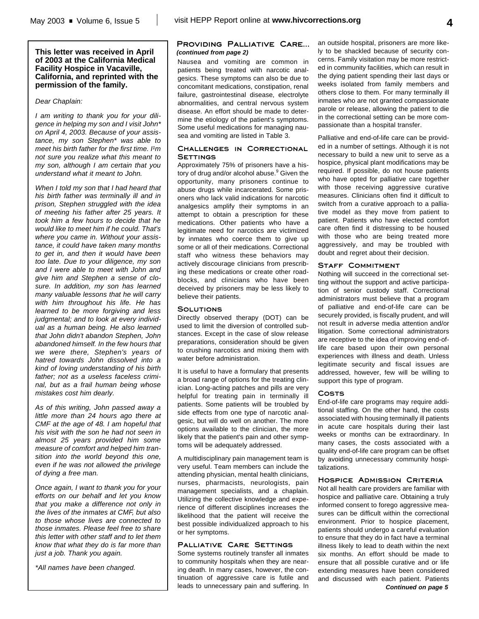## **This letter was received in April of 2003 at the California Medical Facility Hospice in Vacaville, California, and reprinted with the permission of the family.**

## *Dear Chaplain:*

*I am writing to thank you for your diligence in helping my son and I visit John\* on April 4, 2003. Because of your assistance, my son Stephen\* was able to meet his birth father for the first time. I'm not sure you realize what this meant to my son, although I am certain that you understand what it meant to John.*

*When I told my son that I had heard that his birth father was terminally ill and in prison, Stephen struggled with the idea of meeting his father after 25 years. It took him a few hours to decide that he would like to meet him if he could. That's where you came in. Without your assistance, it could have taken many months to get in, and then it would have been too late. Due to your diligence, my son and I were able to meet with John and give him and Stephen a sense of closure. In addition, my son has learned many valuable lessons that he will carry with him throughout his life. He has learned to be more forgiving and less judgmental; and to look at every individual as a human being. He also learned that John didn't abandon Stephen, John abandoned himself. In the few hours that we were there, Stephen's years of hatred towards John dissolved into a kind of loving understanding of his birth father; not as a useless faceless criminal, but as a frail human being whose mistakes cost him dearly.*

*As of this writing, John passed away a little more than 24 hours ago there at CMF at the age of 48. I am hopeful that his visit with the son he had not seen in almost 25 years provided him some measure of comfort and helped him transition into the world beyond this one, even if he was not allowed the privilege of dying a free man.*

*Once again, I want to thank you for your efforts on our behalf and let you know that you make a difference not only in the lives of the inmates at CMF, but also to those whose lives are connected to those inmates. Please feel free to share this letter with other staff and to let them know that what they do is far more than just a job. Thank you again.*

*\*All names have been changed.*

## **Providing Palliative Care...** *(continued from page 2)*

Nausea and vomiting are common in patients being treated with narcotic analgesics. These symptoms can also be due to concomitant medications, constipation, renal failure, gastrointestinal disease, electrolyte abnormalities, and central nervous system disease. An effort should be made to determine the etiology of the patient's symptoms. Some useful medications for managing nausea and vomiting are listed in Table 3.

## **Challenges in Correctional SETTINGS**

Approximately 75% of prisoners have a history of drug and/or alcohol abuse.<sup>9</sup> Given the opportunity, many prisoners continue to abuse drugs while incarcerated. Some prisoners who lack valid indications for narcotic analgesics amplify their symptoms in an attempt to obtain a prescription for these medications. Other patients who have a legitimate need for narcotics are victimized by inmates who coerce them to give up some or all of their medications. Correctional staff who witness these behaviors may actively discourage clinicians from prescribing these medications or create other roadblocks, and clinicians who have been deceived by prisoners may be less likely to believe their patients.

## **Solutions**

Directly observed therapy (DOT) can be used to limit the diversion of controlled substances. Except in the case of slow release preparations, consideration should be given to crushing narcotics and mixing them with water before administration.

It is useful to have a formulary that presents a broad range of options for the treating clinician. Long-acting patches and pills are very helpful for treating pain in terminally ill patients. Some patients will be troubled by side effects from one type of narcotic analgesic, but will do well on another. The more options available to the clinician, the more likely that the patient's pain and other symptoms will be adequately addressed.

A multidisciplinary pain management team is very useful. Team members can include the attending physician, mental health clinicians, nurses, pharmacists, neurologists, pain management specialists, and a chaplain. Utilizing the collective knowledge and experience of different disciplines increases the likelihood that the patient will receive the best possible individualized approach to his or her symptoms.

## **Palliative Care Settings**

Some systems routinely transfer all inmates to community hospitals when they are nearing death. In many cases, however, the continuation of aggressive care is futile and leads to unnecessary pain and suffering. In an outside hospital, prisoners are more likely to be shackled because of security concerns. Family visitation may be more restricted in community facilities, which can result in the dying patient spending their last days or weeks isolated from family members and others close to them. For many terminally ill inmates who are not granted compassionate parole or release, allowing the patient to die in the correctional setting can be more compassionate than a hospital transfer.

Palliative and end-of-life care can be provided in a number of settings. Although it is not necessary to build a new unit to serve as a hospice, physical plant modifications may be required. If possible, do not house patients who have opted for palliative care together with those receiving aggressive curative measures. Clinicians often find it difficult to switch from a curative approach to a palliative model as they move from patient to patient. Patients who have elected comfort care often find it distressing to be housed with those who are being treated more aggressively, and may be troubled with doubt and regret about their decision.

## **Staff Commitment**

Nothing will succeed in the correctional setting without the support and active participation of senior custody staff. Correctional administrators must believe that a program of palliative and end-of-life care can be securely provided, is fiscally prudent, and will not result in adverse media attention and/or litigation. Some correctional administrators are receptive to the idea of improving end-oflife care based upon their own personal experiences with illness and death. Unless legitimate security and fiscal issues are addressed, however, few will be willing to support this type of program.

### **Costs**

End-of-life care programs may require additional staffing. On the other hand, the costs associated with housing terminally ill patients in acute care hospitals during their last weeks or months can be extraordinary. In many cases, the costs associated with a quality end-of-life care program can be offset by avoiding unnecessary community hospitalizations.

## **Hospice Admission Criteria**

Not all health care providers are familiar with hospice and palliative care. Obtaining a truly informed consent to forego aggressive measures can be difficult within the correctional environment. Prior to hospice placement, patients should undergo a careful evaluation to ensure that they do in fact have a terminal illness likely to lead to death within the next six months. An effort should be made to ensure that all possible curative and or life extending measures have been considered and discussed with each patient. Patients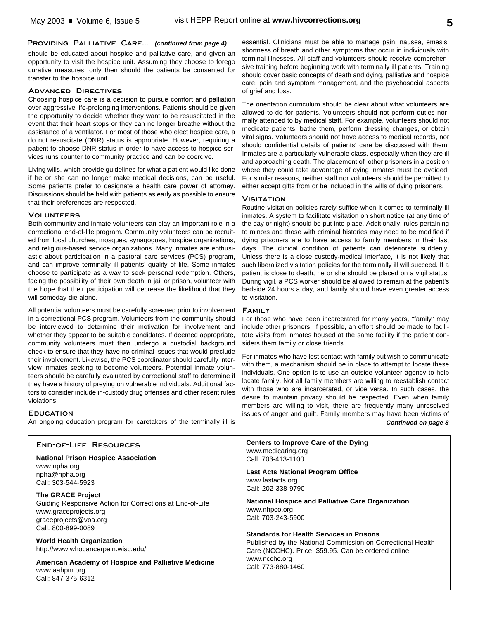## **Providing Palliative Care...** *(continued from page 4)*

should be educated about hospice and palliative care, and given an opportunity to visit the hospice unit. Assuming they choose to forego curative measures, only then should the patients be consented for transfer to the hospice unit.

## **Advanced Directives**

Choosing hospice care is a decision to pursue comfort and palliation over aggressive life-prolonging interventions. Patients should be given the opportunity to decide whether they want to be resuscitated in the event that their heart stops or they can no longer breathe without the assistance of a ventilator. For most of those who elect hospice care, a do not resuscitate (DNR) status is appropriate. However, requiring a patient to choose DNR status in order to have access to hospice services runs counter to community practice and can be coercive.

Living wills, which provide guidelines for what a patient would like done if he or she can no longer make medical decisions, can be useful. Some patients prefer to designate a health care power of attorney. Discussions should be held with patients as early as possible to ensure that their preferences are respected.

### **Volunteers**

Both community and inmate volunteers can play an important role in a correctional end-of-life program. Community volunteers can be recruited from local churches, mosques, synagogues, hospice organizations, and religious-based service organizations. Many inmates are enthusiastic about participation in a pastoral care services (PCS) program, and can improve terminally ill patients' quality of life. Some inmates choose to participate as a way to seek personal redemption. Others, facing the possibility of their own death in jail or prison, volunteer with the hope that their participation will decrease the likelihood that they will someday die alone.

All potential volunteers must be carefully screened prior to involvement in a correctional PCS program. Volunteers from the community should be interviewed to determine their motivation for involvement and whether they appear to be suitable candidates. If deemed appropriate, community volunteers must then undergo a custodial background check to ensure that they have no criminal issues that would preclude their involvement. Likewise, the PCS coordinator should carefully interview inmates seeking to become volunteers. Potential inmate volunteers should be carefully evaluated by correctional staff to determine if they have a history of preying on vulnerable individuals. Additional factors to consider include in-custody drug offenses and other recent rules violations.

## **Education**

An ongoing education program for caretakers of the terminally ill is

## **End-of-Life Resources**

**National Prison Hospice Association** www.npha.org npha@npha.org Call: 303-544-5923

**The GRACE Project** Guiding Responsive Action for Corrections at End-of-Life www.graceprojects.org graceprojects@voa.org Call: 800-899-0089

**World Health Organization** http://www.whocancerpain.wisc.edu/

**American Academy of Hospice and Palliative Medicine** www.aahpm.org Call: 847-375-6312

essential. Clinicians must be able to manage pain, nausea, emesis, shortness of breath and other symptoms that occur in individuals with terminal illnesses. All staff and volunteers should receive comprehensive training before beginning work with terminally ill patients. Training should cover basic concepts of death and dying, palliative and hospice care, pain and symptom management, and the psychosocial aspects of grief and loss.

The orientation curriculum should be clear about what volunteers are allowed to do for patients. Volunteers should not perform duties normally attended to by medical staff. For example, volunteers should not medicate patients, bathe them, perform dressing changes, or obtain vital signs. Volunteers should not have access to medical records, nor should confidential details of patients' care be discussed with them. Inmates are a particularly vulnerable class, especially when they are ill and approaching death. The placement of other prisoners in a position where they could take advantage of dying inmates must be avoided. For similar reasons, neither staff nor volunteers should be permitted to either accept gifts from or be included in the wills of dying prisoners.

## **Visitation**

Routine visitation policies rarely suffice when it comes to terminally ill inmates. A system to facilitate visitation on short notice (at any time of the day or night) should be put into place. Additionally, rules pertaining to minors and those with criminal histories may need to be modified if dying prisoners are to have access to family members in their last days. The clinical condition of patients can deteriorate suddenly. Unless there is a close custody-medical interface, it is not likely that such liberalized visitation policies for the terminally ill will succeed. If a patient is close to death, he or she should be placed on a vigil status. During vigil, a PCS worker should be allowed to remain at the patient's bedside 24 hours a day, and family should have even greater access to visitation.

## **Family**

For those who have been incarcerated for many years, "family" may include other prisoners. If possible, an effort should be made to facilitate visits from inmates housed at the same facility if the patient considers them family or close friends.

For inmates who have lost contact with family but wish to communicate with them, a mechanism should be in place to attempt to locate these individuals. One option is to use an outside volunteer agency to help locate family. Not all family members are willing to reestablish contact with those who are incarcerated, or vice versa. In such cases, the desire to maintain privacy should be respected. Even when family members are willing to visit, there are frequently many unresolved issues of anger and guilt. Family members may have been victims of *Continued on page 8*

**Centers to Improve Care of the Dying** www.medicaring.org Call: 703-413-1100

**Last Acts National Program Office** www.lastacts.org

Call: 202-338-9790

**National Hospice and Palliative Care Organization** www.nhpco.org Call: 703-243-5900

## **Standards for Health Services in Prisons**

Published by the National Commission on Correctional Health Care (NCCHC). Price: \$59.95. Can be ordered online. www.ncchc.org Call: 773-880-1460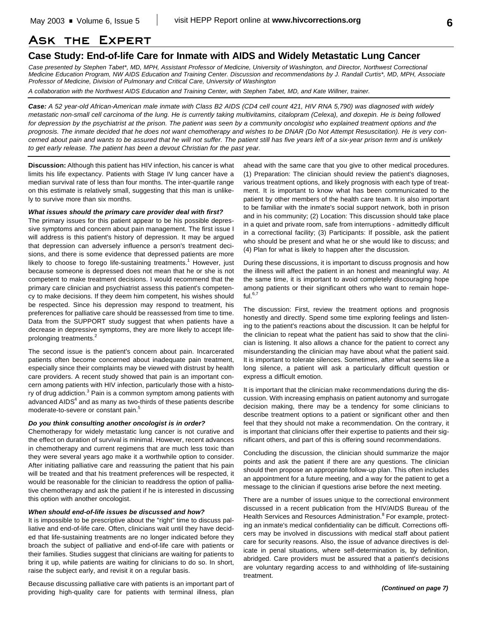## **Ask the Expert**

## **Case Study: End-of-life Care for Inmate with AIDS and Widely Metastatic Lung Cancer**

*Case presented by Stephen Tabet\*, MD, MPH, Assistant Professor of Medicine, University of Washington, and Director, Northwest Correctional Medicine Education Program, NW AIDS Education and Training Center. Discussion and recommendations by J. Randall Curtis\*, MD, MPH, Associate Professor of Medicine, Division of Pulmonary and Critical Care, University of Washington*

*A collaboration with the Northwest AIDS Education and Training Center, with Stephen Tabet, MD, and Kate Willner, trainer.*

*Case: A 52 year-old African-American male inmate with Class B2 AIDS (CD4 cell count 421, HIV RNA 5,790) was diagnosed with widely metastatic non-small cell carcinoma of the lung. He is currently taking multivitamins, citalopram (Celexa), and doxepin. He is being followed for depression by the psychiatrist at the prison. The patient was seen by a community oncologist who explained treatment options and the prognosis. The inmate decided that he does not want chemotherapy and wishes to be DNAR (Do Not Attempt Resuscitation). He is very concerned about pain and wants to be assured that he will not suffer. The patient still has five years left of a six-year prison term and is unlikely to get early release. The patient has been a devout Christian for the past year.*

**Discussion:** Although this patient has HIV infection, his cancer is what limits his life expectancy. Patients with Stage IV lung cancer have a median survival rate of less than four months. The inter-quartile range on this estimate is relatively small, suggesting that this man is unlikely to survive more than six months.

### *What issues should the primary care provider deal with first?*

The primary issues for this patient appear to be his possible depressive symptoms and concern about pain management. The first issue I will address is this patient's history of depression. It may be argued that depression can adversely influence a person's treatment decisions, and there is some evidence that depressed patients are more likely to choose to forego life-sustaining treatments.<sup>1</sup> However, just because someone is depressed does not mean that he or she is not competent to make treatment decisions. I would recommend that the primary care clinician and psychiatrist assess this patient's competency to make decisions. If they deem him competent, his wishes should be respected. Since his depression may respond to treatment, his preferences for palliative care should be reassessed from time to time. Data from the SUPPORT study suggest that when patients have a decrease in depressive symptoms, they are more likely to accept lifeprolonging treatments.<sup>2</sup>

The second issue is the patient's concern about pain. Incarcerated patients often become concerned about inadequate pain treatment, especially since their complaints may be viewed with distrust by health care providers. A recent study showed that pain is an important concern among patients with HIV infection, particularly those with a history of drug addiction.<sup>3</sup> Pain is a common symptom among patients with advanced AIDS<sup>4</sup> and as many as two-thirds of these patients describe moderate-to-severe or constant pain.<sup>5</sup>

## *Do you think consulting another oncologist is in order?*

Chemotherapy for widely metastatic lung cancer is not curative and the effect on duration of survival is minimal. However, recent advances in chemotherapy and current regimens that are much less toxic than they were several years ago make it a worthwhile option to consider. After initiating palliative care and reassuring the patient that his pain will be treated and that his treatment preferences will be respected, it would be reasonable for the clinician to readdress the option of palliative chemotherapy and ask the patient if he is interested in discussing this option with another oncologist.

## *When should end-of-life issues be discussed and how?*

It is impossible to be prescriptive about the "right" time to discuss palliative and end-of-life care. Often, clinicians wait until they have decided that life-sustaining treatments are no longer indicated before they broach the subject of palliative and end-of-life care with patients or their families. Studies suggest that clinicians are waiting for patients to bring it up, while patients are waiting for clinicians to do so. In short, raise the subject early, and revisit it on a regular basis.

Because discussing palliative care with patients is an important part of providing high-quality care for patients with terminal illness, plan ahead with the same care that you give to other medical procedures. (1) Preparation: The clinician should review the patient's diagnoses, various treatment options, and likely prognosis with each type of treatment. It is important to know what has been communicated to the patient by other members of the health care team. It is also important to be familiar with the inmate's social support network, both in prison and in his community; (2) Location: This discussion should take place in a quiet and private room, safe from interruptions - admittedly difficult in a correctional facility; (3) Participants: If possible, ask the patient who should be present and what he or she would like to discuss; and (4) Plan for what is likely to happen after the discussion.

During these discussions, it is important to discuss prognosis and how the illness will affect the patient in an honest and meaningful way. At the same time, it is important to avoid completely discouraging hope among patients or their significant others who want to remain hopeful. $^{6,7}$ 

The discussion: First, review the treatment options and prognosis honestly and directly. Spend some time exploring feelings and listening to the patient's reactions about the discussion. It can be helpful for the clinician to repeat what the patient has said to show that the clinician is listening. It also allows a chance for the patient to correct any misunderstanding the clinician may have about what the patient said. It is important to tolerate silences. Sometimes, after what seems like a long silence, a patient will ask a particularly difficult question or express a difficult emotion.

It is important that the clinician make recommendations during the discussion. With increasing emphasis on patient autonomy and surrogate decision making, there may be a tendency for some clinicians to describe treatment options to a patient or significant other and then feel that they should not make a recommendation. On the contrary, it is important that clinicians offer their expertise to patients and their significant others, and part of this is offering sound recommendations.

Concluding the discussion, the clinician should summarize the major points and ask the patient if there are any questions. The clinician should then propose an appropriate follow-up plan. This often includes an appointment for a future meeting, and a way for the patient to get a message to the clinician if questions arise before the next meeting.

There are a number of issues unique to the correctional environment discussed in a recent publication from the HIV/AIDS Bureau of the Health Services and Resources Administration.<sup>8</sup> For example, protecting an inmate's medical confidentiality can be difficult. Corrections officers may be involved in discussions with medical staff about patient care for security reasons. Also, the issue of advance directives is delicate in penal situations, where self-determination is, by definition, abridged. Care providers must be assured that a patient's decisions are voluntary regarding access to and withholding of life-sustaining treatment.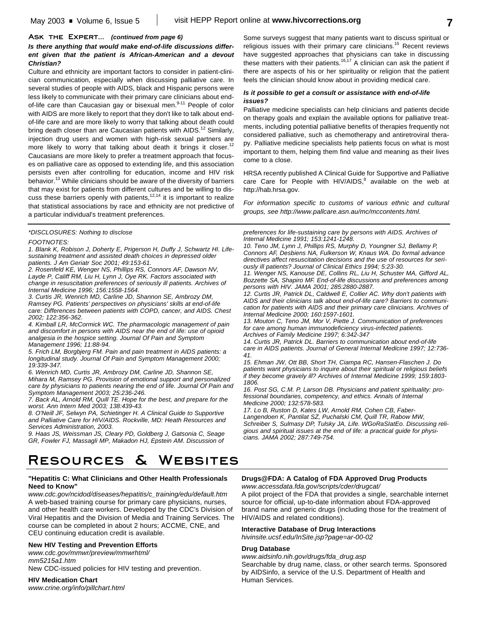## *Is there anything that would make end-of-life discussions different given that the patient is African-American and a devout Christian?*

Culture and ethnicity are important factors to consider in patient-clinician communication, especially when discussing palliative care. In several studies of people with AIDS, black and Hispanic persons were less likely to communicate with their primary care clinicians about endof-life care than Caucasian gay or bisexual men.<sup>9-11</sup> People of color with AIDS are more likely to report that they don't like to talk about endof-life care and are more likely to worry that talking about death could bring death closer than are Caucasian patients with AIDS.<sup>12</sup> Similarly, injection drug users and women with high-risk sexual partners are more likely to worry that talking about death it brings it closer.<sup>12</sup> Caucasians are more likely to prefer a treatment approach that focuses on palliative care as opposed to extending life, and this association persists even after controlling for education, income and HIV risk behavior.<sup>13</sup> While clinicians should be aware of the diversity of barriers that may exist for patients from different cultures and be willing to discuss these barriers openly with patients,<sup>12,14</sup> it is important to realize that statistical associations by race and ethnicity are not predictive of a particular individual's treatment preferences.

### *\*DISCLOSURES: Nothing to disclose*

#### *FOOTNOTES:*

*1. Blank K, Robison J, Doherty E, Prigerson H, Duffy J, Schwartz HI. Lifesustaining treatment and assisted death choices in depressed older patients. J Am Geriatr Soc 2001; 49:153-61.*

*2. Rosenfeld KE, Wenger NS, Phillips RS, Connors AF, Dawson NV, Layde P, Califf RM, Liu H, Lynn J, Oye RK. Factors associated with change in resuscitation preferences of seriously ill patients. Archives of Internal Medicine 1996; 156:1558-1564.*

*3. Curtis JR, Wenrich MD, Carline JD, Shannon SE, Ambrozy DM, Ramsey PG. Patients' perspectives on physicians' skills at end-of-life care: Differences between patients with COPD, cancer, and AIDS. Chest 2002; 122:356-362.*

*4. Kimball LR, McCormick WC. The pharmacologic management of pain and discomfort in persons with AIDS near the end of life: use of opioid analgesia in the hospice setting. Journal Of Pain and Symptom Management 1996; 11:88-94.*

*5. Frich LM, Borgbjerg FM. Pain and pain treatment in AIDS patients: a longitudinal study. Journal Of Pain and Symptom Management 2000; 19:339-347.*

*6. Wenrich MD, Curtis JR, Ambrozy DM, Carline JD, Shannon SE, Mihara M, Ramsey PG. Provision of emotional support and personalized care by physicians to patients nearing the end of life. Journal Of Pain and Symptom Management 2003; 25:236-246.*

*7. Back AL, Arnold RM, Quill TE. Hope for the best, and prepare for the worst. Ann Intern Med 2003; 138:439-43.*

*8. O'Neill JF, Selwyn PA, Schietinger H. A Clinical Guide to Supportive and Palliative Care for HIV/AIDS. Rockville, MD: Heath Resources and Services Administration, 2003.*

*9. Haas JS, Weissman JS, Cleary PD, Goldberg J, Gatsonia C, Seage GR, Fowler FJ, Massagli MP, Makadon HJ, Epstein AM. Discussion of*

# **Resources & Websites**

## **"Hepatitis C: What Clinicians and Other Health Professionals Need to Know"**

*www.cdc.gov/ncidod/diseases/hepatitis/c\_training/edu/default.htm* A web-based training course for primary care physicians, nurses, and other health care workers. Developed by the CDC's Division of Viral Hepatitis and the Division of Media and Training Services. The course can be completed in about 2 hours; ACCME, CNE, and CEU continuing education credit is available.

## **New HIV Testing and Prevention Efforts**

*www.cdc.gov/mmwr/preview/mmwrhtml/ mm5215a1.htm*

New CDC-issued policies for HIV testing and prevention.

**HIV Medication Chart** *www.crine.org/info/pillchart.html*

Some surveys suggest that many patients want to discuss spiritual or religious issues with their primary care clinicians.<sup>15</sup> Recent reviews have suggested approaches that physicians can take in discussing these matters with their patients.<sup>16,17</sup> A clinician can ask the patient if there are aspects of his or her spirituality or religion that the patient feels the clinician should know about in providing medical care.

## *Is it possible to get a consult or assistance with end-of-life issues?*

Palliative medicine specialists can help clinicians and patients decide on therapy goals and explain the available options for palliative treatments, including potential palliative benefits of therapies frequently not considered palliative, such as chemotherapy and antiretroviral therapy. Palliative medicine specialists help patients focus on what is most important to them, helping them find value and meaning as their lives come to a close.

HRSA recently published A Clinical Guide for Supportive and Palliative care Care for People with HIV/AIDS, $^8$  available on the web at http://hab.hrsa.gov.

*For information specific to customs of various ethnic and cultural groups, see http://www.pallcare.asn.au/mc/mccontents.html.*

*preferences for life-sustaining care by persons with AIDS. Archives of Internal Medicine 1991; 153:1241-1248.*

*10. Teno JM, Lynn J, Phillips RS, Murphy D, Youngner SJ, Bellamy P, Connors AF, Desbiens NA, Fulkerson W, Knaus WA. Do formal advance directives affect resuscitation decisions and the use of resources for seriously ill patients? Journal of Clinical Ethics 1994; 5:23-30.*

*11. Wenger NS, Kanouse DE, Collins RL, Liu H, Schuster MA, Gifford AL, Bozzette SA, Shapiro MF. End-of-life discussions and preferences among persons with HIV. JAMA 2001; 285:2880-2887.*

*12. Curtis JR, Patrick DL, Caldwell E, Collier AC. Why don't patients with AIDS and their clinicians talk about end-of-life care? Barriers to communication for patients with AIDS and their primary care clinicians. Archives of Internal Medicine 2000; 160:1597-1601.*

*13. Mouton C, Teno JM, Mor V, Piette J. Communication of preferences for care among human immunodeficiency virus-infected patients. Archives of Family Medicine 1997; 6:342-347*

*14. Curtis JR, Patrick DL. Barriers to communication about end-of-life care in AIDS patients. Journal of General Internal Medicine 1997; 12:736- 41.*

*15. Ehman JW, Ott BB, Short TH, Ciampa RC, Hansen-Flaschen J. Do patients want physicians to inquire about their spiritual or religious beliefs if they become gravely ill? Archives of Internal Medicine 1999; 159:1803- 1806.*

*16. Post SG, C.M. P, Larson DB. Physicians and patient spirituality: professional boundaries, competency, and ethics. Annals of Internal Medicine 2000; 132:578-583.*

*17. Lo B, Ruston D, Kates LW, Arnold RM, Cohen CB, Faber-Langendoen K, Pantilat SZ, Puchalski CM, Quill TR, Rabow MW, Schreiber S, Sulmasy DP, Tulsky JA, Life. WGoRaSIatEo. Discussing religious and spiritual issues at the end of life: a practical guide for physicians. JAMA 2002; 287:749-754.*

## **Drugs@FDA: A Catalog of FDA Approved Drug Products**

*www.accessdata.fda.gov/scripts/cder/drugcat/*

A pilot project of the FDA that provides a single, searchable internet source for official, up-to-date information about FDA-approved brand name and generic drugs (including those for the treatment of HIV/AIDS and related conditions).

## **Interactive Database of Drug Interactions**

*hivinsite.ucsf.edu/InSite.jsp?page=ar-00-02*

## **Drug Database**

*www.aidsinfo.nih.gov/drugs/fda\_drug.asp* Searchable by drug name, class, or other search terms. Sponsored by AIDSinfo, a service of the U.S. Department of Health and Human Services.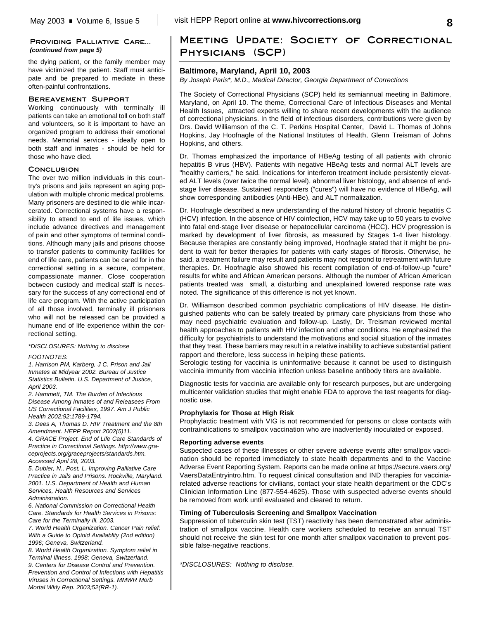## **Providing Palliative Care...** *(continued from page 5)*

the dying patient, or the family member may have victimized the patient. Staff must anticipate and be prepared to mediate in these often-painful confrontations.

## **Bereavement Support**

Working continuously with terminally ill patients can take an emotional toll on both staff and volunteers, so it is important to have an organized program to address their emotional needs. Memorial services - ideally open to both staff and inmates - should be held for those who have died.

## **Conclusion**

The over two million individuals in this country's prisons and jails represent an aging population with multiple chronic medical problems. Many prisoners are destined to die while incarcerated. Correctional systems have a responsibility to attend to end of life issues, which include advance directives and management of pain and other symptoms of terminal conditions. Although many jails and prisons choose to transfer patients to community facilities for end of life care, patients can be cared for in the correctional setting in a secure, competent, compassionate manner. Close cooperation between custody and medical staff is necessary for the success of any correctional end of life care program. With the active participation of all those involved, terminally ill prisoners who will not be released can be provided a humane end of life experience within the correctional setting.

## *\*DISCLOSURES: Nothing to disclose*

## *FOOTNOTES:*

*1. Harrison PM, Karberg, J C. Prison and Jail Inmates at Midyear 2002. Bureau of Justice Statistics Bulletin, U.S. Department of Justice, April 2003.*

*2. Hammett, TM. The Burden of Infectious Disease Among Inmates of and Releasees From US Correctional Facilities, 1997. Am J Public Health 2002:92:1789-1794.* 

*3. Dees A, Thomas D. HIV Treatment and the 8th Amendment. HEPP Report 2002(5)11.*

*4. GRACE Project. End of Life Care Standards of Practice in Correctional Settings. http://www.graceprojects.org/graceprojects/standards.htm. Accessed April 28, 2003.*

*5. Dubler, N., Post, L. Improving Palliative Care Practice in Jails and Prisons. Rockville, Maryland. 2001. U.S. Department of Health and Human Services, Health Resources and Services Administration.*

*6. National Commission on Correctional Health Care. Standards for Health Services in Prisons: Care for the Terminally Ill. 2003.*

*7. World Health Organization. Cancer Pain relief: With a Guide to Opioid Availablity (2nd edition) 1996; Geneva, Switzerland.*

*8. World Health Organization. Symptom relief in Terminal Illness. 1998; Geneva, Switzerland. 9. Centers for Disease Control and Prevention. Prevention and Control of Infections with Hepatitis Viruses in Correctional Settings. MMWR Morb Mortal Wkly Rep. 2003;52(RR-1).*

## **Meeting Update: Society of Correctional Physicians (SCP)**

## **Baltimore, Maryland, April 10, 2003**

*By Joseph Paris\*, M.D., Medical Director, Georgia Department of Corrections*

The Society of Correctional Physicians (SCP) held its semiannual meeting in Baltimore, Maryland, on April 10. The theme, Correctional Care of Infectious Diseases and Mental Health Issues, attracted experts willing to share recent developments with the audience of correctional physicians. In the field of infectious disorders, contributions were given by Drs. David Williamson of the C. T. Perkins Hospital Center, David L. Thomas of Johns Hopkins, Jay Hoofnagle of the National Institutes of Health, Glenn Treisman of Johns Hopkins, and others.

Dr. Thomas emphasized the importance of HBeAg testing of all patients with chronic hepatitis B virus (HBV). Patients with negative HBeAg tests and normal ALT levels are "healthy carriers," he said. Indications for interferon treatment include persistently elevated ALT levels (over twice the normal level), abnormal liver histology, and absence of endstage liver disease. Sustained responders ("cures") will have no evidence of HBeAg, will show corresponding antibodies (Anti-HBe), and ALT normalization.

Dr. Hoofnagle described a new understanding of the natural history of chronic hepatitis C (HCV) infection. In the absence of HIV coinfection, HCV may take up to 50 years to evolve into fatal end-stage liver disease or hepatocellular carcinoma (HCC). HCV progression is marked by development of liver fibrosis, as measured by Stages 1-4 liver histology. Because therapies are constantly being improved, Hoofnagle stated that it might be prudent to wait for better therapies for patients with early stages of fibrosis. Otherwise, he said, a treatment failure may result and patients may not respond to retreatment with future therapies. Dr. Hoofnagle also showed his recent compilation of end-of-follow-up "cure" results for white and African American persons. Although the number of African American patients treated was small, a disturbing and unexplained lowered response rate was noted. The significance of this difference is not yet known.

Dr. Williamson described common psychiatric complications of HIV disease. He distinguished patients who can be safely treated by primary care physicians from those who may need psychiatric evaluation and follow-up. Lastly, Dr. Treisman reviewed mental health approaches to patients with HIV infection and other conditions. He emphasized the difficulty for psychiatrists to understand the motivations and social situation of the inmates that they treat. These barriers may result in a relative inability to achieve substantial patient rapport and therefore, less success in helping these patients.

Serologic testing for vaccinia is uninformative because it cannot be used to distinguish vaccinia immunity from vaccinia infection unless baseline antibody titers are available.

Diagnostic tests for vaccinia are available only for research purposes, but are undergoing multicenter validation studies that might enable FDA to approve the test reagents for diagnostic use.

## **Prophylaxis for Those at High Risk**

Prophylactic treatment with VIG is not recommended for persons or close contacts with contraindications to smallpox vaccination who are inadvertently inoculated or exposed.

### **Reporting adverse events**

Suspected cases of these illnesses or other severe adverse events after smallpox vaccination should be reported immediately to state health departments and to the Vaccine Adverse Event Reporting System. Reports can be made online at https://secure.vaers.org/ VaersDataEntryintro.htm. To request clinical consultation and IND therapies for vacciniarelated adverse reactions for civilians, contact your state health department or the CDC's Clinician Information Line (877-554-4625). Those with suspected adverse events should be removed from work until evaluated and cleared to return.

## **Timing of Tuberculosis Screening and Smallpox Vaccination**

Suppression of tuberculin skin test (TST) reactivity has been demonstrated after administration of smallpox vaccine. Health care workers scheduled to receive an annual TST should not receive the skin test for one month after smallpox vaccination to prevent possible false-negative reactions.

*\*DISCLOSURES: Nothing to disclose.*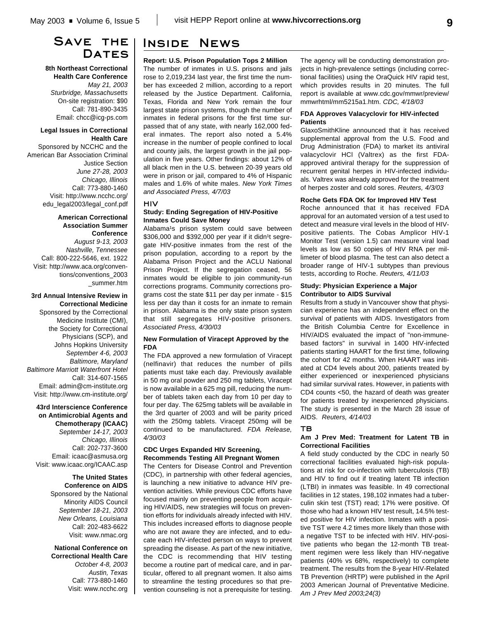# **Save the Dates**

**8th Northeast Correctional Health Care Conference** *May 21, 2003 Sturbridge, Massachusetts* On-site registration: \$90 Call: 781-890-3435 Email: chcc@icg-ps.com

#### **Legal Issues in Correctional Health Care**

Sponsored by NCCHC and the American Bar Association Criminal Justice Section *June 27-28, 2003 Chicago, Illinois* Call: 773-880-1460 Visit: http://www.ncchc.org/ edu\_legal2003/legal\_conf.pdf

## **American Correctional Association Summer Conference**

*August 9-13, 2003 Nashville, Tennessee* Call: 800-222-5646, ext. 1922 Visit: http://www.aca.org/conventions/conventions\_2003 \_summer.htm

## **3rd Annual Intensive Review in Correctional Medicine** Sponsored by the Correctional

Medicine Institute (CMI), the Society for Correctional Physicians (SCP), and Johns Hopkins University *September 4-6, 2003 Baltimore, Maryland Baltimore Marriott Waterfront Hotel* Call: 314-607-1565 Email: admin@cm-institute.org Visit: http://www.cm-institute.org/

**43rd Interscience Conference on Antimicrobial Agents and Chemotherapy (ICAAC)** *September 14-17, 2003 Chicago, Illinois* Call: 202-737-3600 Email: icaac@asmusa.org Visit: www.icaac.org/ICAAC.asp

> **The United States Conference on AIDS** Sponsored by the National Minority AIDS Council *September 18-21, 2003 New Orleans, Louisiana* Call: 202-483-6622 Visit: www.nmac.org

## **National Conference on Correctional Health Care** *October 4-8, 2003 Austin, Texas* Call: 773-880-1460 Visit: www.ncchc.org

# **Inside News**

**Report: U.S. Prison Population Tops 2 Million** The number of inmates in U.S. prisons and jails rose to 2,019,234 last year, the first time the number has exceeded 2 million, according to a report released by the Justice Department. California, Texas, Florida and New York remain the four largest state prison systems, though the number of inmates in federal prisons for the first time surpassed that of any state, with nearly 162,000 federal inmates. The report also noted a 5.4% increase in the number of people confined to local and county jails, the largest growth in the jail population in five years. Other findings: about 12% of all black men in the U.S. between 20-39 years old were in prison or jail, compared to 4% of Hispanic males and 1.6% of white males. *New York Times and Associated Press, 4/7/03*

## **Study: Ending Segregation of HIV-Positive Inmates Could Save Money**

**HIV**

Alabama<sup>1</sup>s prison system could save between \$306,000 and \$392,000 per year if it didn<sup>1</sup>t segregate HIV-positive inmates from the rest of the prison population, according to a report by the Alabama Prison Project and the ACLU National Prison Project. If the segregation ceased, 56 inmates would be eligible to join community-run corrections programs. Community corrections programs cost the state \$11 per day per inmate - \$15 less per day than it costs for an inmate to remain in prison. Alabama is the only state prison system that still segregates HIV-positive prisoners. *Associated Press, 4/30/03*

## **New Formulation of Viracept Approved by the FDA**

The FDA approved a new formulation of Viracept (nelfinavir) that reduces the number of pills patients must take each day. Previously available in 50 mg oral powder and 250 mg tablets, Viracept is now available in a 625 mg pill, reducing the number of tablets taken each day from 10 per day to four per day. The 625mg tablets will be available in the 3rd quarter of 2003 and will be parity priced with the 250mg tablets. Viracept 250mg will be continued to be manufactured. *FDA Release, 4/30/03*

## **CDC Urges Expanded HIV Screening, Recommends Testing All Pregnant Women**

The Centers for Disease Control and Prevention (CDC), in partnership with other federal agencies, is launching a new initiative to advance HIV prevention activities. While previous CDC efforts have focused mainly on preventing people from acquiring HIV/AIDS, new strategies will focus on prevention efforts for individuals already infected with HIV. This includes increased efforts to diagnose people who are not aware they are infected, and to educate each HIV-infected person on ways to prevent spreading the disease. As part of the new initiative, the CDC is recommending that HIV testing become a routine part of medical care, and in particular, offered to all pregnant women. It also aims to streamline the testing procedures so that prevention counseling is not a prerequisite for testing.

The agency will be conducting demonstration projects in high-prevalence settings (including correctional facilities) using the OraQuick HIV rapid test, which provides results in 20 minutes. The full report is available at www.cdc.gov/mmwr/preview/ mmwrhtml/mm5215a1.htm. *CDC, 4/18/03*

## **FDA Approves Valacyclovir for HIV-infected Patients**

GlaxoSmithKline announced that it has received supplemental approval from the U.S. Food and Drug Administration (FDA) to market its antiviral valacyclovir HCl (Valtrex) as the first FDAapproved antiviral therapy for the suppression of recurrent genital herpes in HIV-infected individuals. Valtrex was already approved for the treatment of herpes zoster and cold sores. *Reuters, 4/3/03*

## **Roche Gets FDA OK for Improved HIV Test**

Roche announced that it has received FDA approval for an automated version of a test used to detect and measure viral levels in the blood of HIVpositive patients. The Cobas Amplicor HIV-1 Monitor Test (version 1.5) can measure viral load levels as low as 50 copies of HIV RNA per millimeter of blood plasma. The test can also detect a broader range of HIV-1 subtypes than previous tests, according to Roche. *Reuters, 4/11/03*

## **Study: Physician Experience a Major Contributor to AIDS Survival**

Results from a study in Vancouver show that physician experience has an independent effect on the survival of patients with AIDS. Investigators from the British Columbia Centre for Excellence in HIV/AIDS evaluated the impact of "non-immunebased factors" in survival in 1400 HIV-infected patients starting HAART for the first time, following the cohort for 42 months. When HAART was initiated at CD4 levels about 200, patients treated by either experienced or inexperienced physicians had similar survival rates. However, in patients with CD4 counts <50, the hazard of death was greater for patients treated by inexperienced physicians. The study is presented in the March 28 issue of AIDS. *Reuters, 4/14/03*

## **TB**

## **Am J Prev Med: Treatment for Latent TB in Correctional Facilities**

A field study conducted by the CDC in nearly 50 correctional facilities evaluated high-risk populations at risk for co-infection with tuberculosis (TB) and HIV to find out if treating latent TB infection (LTBI) in inmates was feasible. In 49 correctional facilities in 12 states, 198,102 inmates had a tuberculin skin test (TST) read; 17% were positive. Of those who had a known HIV test result, 14.5% tested positive for HIV infection. Inmates with a positive TST were 4.2 times more likely than those with a negative TST to be infected with HIV. HIV-positive patients who began the 12-month TB treatment regimen were less likely than HIV-negative patients (40% vs 68%, respectively) to complete treatment. The results from the 8-year HIV-Related TB Prevention (HRTP) were published in the April 2003 American Journal of Preventative Medicine. *Am J Prev Med 2003;24(3)*